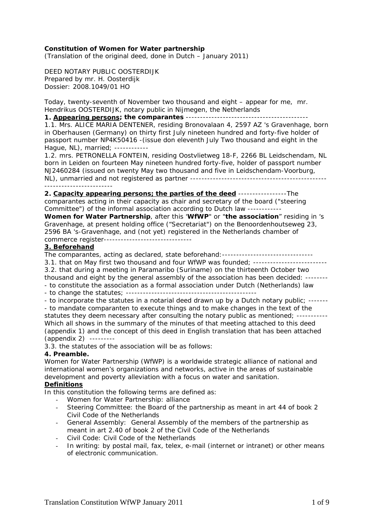### **Constitution of Women for Water partnership**

*(Translation of the original deed, done in Dutch – January 2011)* 

DEED NOTARY PUBLIC OOSTERDIJK Prepared by mr. H. Oosterdijk Dossier: *2008.1049/01* HO

Today, twenty-seventh of November two thousand and eight – appear for me, mr. Hendrikus OOSTERDIJK, notary public in Nijmegen, the Netherlands

# **1. Appearing persons; the comparantes** -------------------------------------------

1.1. Mrs. ALICE MARIA DENTENER, residing Bronovalaan 4, 2597 AZ 's Gravenhage, born in Oberhausen (Germany) on thirty first July nineteen hundred and forty-five holder of passport number NP4K50416 -(issue don eleventh July Two thousand and eight in the Hague, NL), married; ------------

1.2. mrs. PETRONELLA FONTEIN, residing Oostvlietweg 18-F, 2266 BL Leidschendam, NL born in Leiden on fourteen May nineteen hundred forty-five, holder of passport number NJ2460284 (issued on twenty May two thousand and five in Leidschendam-Voorburg, NL), unmarried and not registered as partner ------------------------------------------------

**2. Capacity appearing persons; the parties of the deed** -----------------The comparantes acting in their capacity as chair and secretary of the board ("steering Committee") of the informal association according to Dutch law ------------

**Women for Water Partnership**, after this '**WfWP**" or "**the association**" residing in 's Gravenhage, at present holding office ("Secretariat") on the Benoordenhoutseweg 23, 2596 BA 's-Gravenhage, and (not yet) registered in the Netherlands chamber of commerce register-------------------------------

### **3. Beforehand**

The comparantes, acting as declared, state beforehand: --------------------------------

3.1. that on May first two thousand and four WfWP was founded; --------------------------

3.2. that during a meeting in Paramaribo (Suriname) on the thirteenth October two thousand and eight by the general assembly of the association has been decided: -------- - to constitute the association as a formal association under Dutch (Netherlands) law

- to change the statutes; ----------------------------------------------

- to incorporate the statutes in a notarial deed drawn up by a Dutch notary public; -------

- to mandate comparanten to execute things and to make changes in the text of the statutes they deem necessary after consulting the notary public as mentioned; ----------- Which all shows in the summary of the minutes of that meeting attached to this deed (appendix 1) and the concept of this deed in English translation that has been attached (appendix 2) ---------

3.3. the statutes of the association will be as follows:

### **4. Preamble.**

Women for Water Partnership (WfWP) is a worldwide strategic alliance of national and international women's organizations and networks, active in the areas of sustainable development and poverty alleviation with a focus on water and sanitation.

#### **Definitions**

In this constitution the following terms are defined as:

- Women for Water Partnership: alliance
- Steering Committee: the Board of the partnership as meant in art 44 of book 2 Civil Code of the Netherlands
- General Assembly: General Assembly of the members of the partnership as meant in art 2.40 of book 2 of the Civil Code of the Netherlands
- Civil Code: Civil Code of the Netherlands
- In writing: by postal mail, fax, telex, e-mail (internet or intranet) or other means of electronic communication.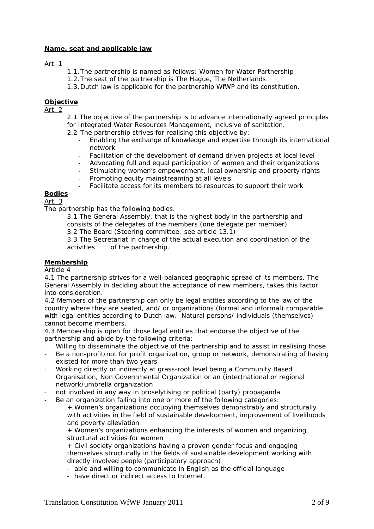### **Name, seat and applicable law**

### Art. 1

- 1.1.The partnership is named as follows: Women for Water Partnership
- 1.2.The seat of the partnership is The Hague, The Netherlands
- 1.3.Dutch law is applicable for the partnership WfWP and its constitution.

## **Objective**

Art. 2

2.1 The objective of the partnership is to advance internationally agreed principles for Integrated Water Resources Management, inclusive of sanitation.

2.2 The partnership strives for realising this objective by:

- Enabling the exchange of knowledge and expertise through its international network
- Facilitation of the development of demand driven projects at local level
- Advocating full and equal participation of women and their organizations
- Stimulating women's empowerment, local ownership and property rights
- Promoting equity mainstreaming at all levels
- Facilitate access for its members to resources to support their work

# **Bodies**

Art. 3

The partnership has the following bodies:

- 3.1 The General Assembly, that is the highest body in the partnership and consists of the delegates of the members (one delegate per member)
- 3.2 The Board (Steering committee: see article 13.1)
- 3.3 The Secretariat in charge of the actual execution and coordination of the activities of the partnership.

### **Membership**

Article 4

4.1 The partnership strives for a well-balanced geographic spread of its members. The General Assembly in deciding about the acceptance of new members, takes this factor into consideration.

4.2 Members of the partnership can only be legal entities according to the law of the country where they are seated, and/ or organizations (formal and informal) comparable with legal entities according to Dutch law. Natural persons/ individuals (themselves) cannot become members.

4.3 Membership is open for those legal entities that endorse the objective of the partnership and abide by the following criteria:

- Willing to disseminate the objective of the partnership and to assist in realising those
- Be a non-profit/not for profit organization, group or network, demonstrating of having existed for more than two years
- Working directly or indirectly at grass-root level being a Community Based Organisation, Non Governmental Organization or an (inter)national or regional network/umbrella organization
- not involved in any way in proselytising or political (party) propaganda
- Be an organization falling into one or more of the following categories:
	- + Women's organizations occupying themselves demonstrably and structurally with activities in the field of sustainable development, improvement of livelihoods and poverty alleviation

+ Women's organizations enhancing the interests of women and organizing structural activities for women

+ Civil society organizations having a proven gender focus and engaging themselves structurally in the fields of sustainable development working with directly involved people (participatory approach)

- able and willing to communicate in English as the official language
- have direct or indirect access to Internet.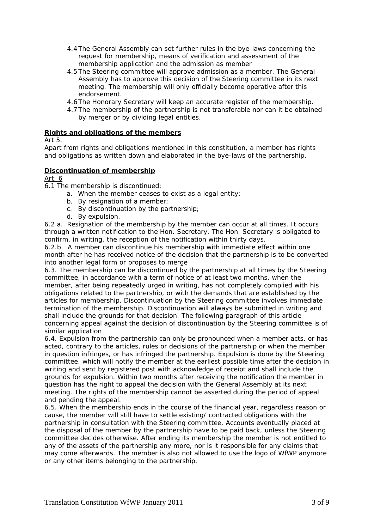- 4.4 The General Assembly can set further rules in the bye-laws concerning the request for membership, means of verification and assessment of the membership application and the admission as member
- 4.5 The Steering committee will approve admission as a member. The General Assembly has to approve this decision of the Steering committee in its next meeting. The membership will only officially become operative after this endorsement.
- 4.6 The Honorary Secretary will keep an accurate register of the membership.
- 4.7 The membership of the partnership is not transferable nor can it be obtained by merger or by dividing legal entities.

### **Rights and obligations of the members**

### Art 5.

Apart from rights and obligations mentioned in this constitution, a member has rights and obligations as written down and elaborated in the bye-laws of the partnership.

### **Discontinuation of membership**

### Art. 6

6.1 The membership is discontinued;

- a. When the member ceases to exist as a legal entity;
- b. By resignation of a member;
- c. By discontinuation by the partnership;
- d. By expulsion.

6.2 a. Resignation of the membership by the member can occur at all times. It occurs through a written notification to the Hon. Secretary. The Hon. Secretary is obligated to confirm, in writing, the reception of the notification within thirty days.

 6.2.b. A member can discontinue his membership with immediate effect within one month after he has received notice of the decision that the partnership is to be converted into another legal form or proposes to merge

6.3. The membership can be discontinued by the partnership at all times by the Steering committee, in accordance with a term of notice of at least two months, when the member, after being repeatedly urged in writing, has not completely complied with his obligations related to the partnership, or with the demands that are established by the articles for membership. Discontinuation by the Steering committee involves immediate termination of the membership. Discontinuation will always be submitted in writing and shall include the grounds for that decision. The following paragraph of this article concerning appeal against the decision of discontinuation by the Steering committee is of similar application

6.4. Expulsion from the partnership can only be pronounced when a member acts, or has acted, contrary to the articles, rules or decisions of the partnership or when the member in question infringes, or has infringed the partnership. Expulsion is done by the Steering committee, which will notify the member at the earliest possible time after the decision in writing and sent by registered post with acknowledge of receipt and shall include the grounds for expulsion. Within two months after receiving the notification the member in question has the right to appeal the decision with the General Assembly at its next meeting. The rights of the membership cannot be asserted during the period of appeal and pending the appeal.

6.5. When the membership ends in the course of the financial year, regardless reason or cause, the member will still have to settle existing/ contracted obligations with the partnership in consultation with the Steering committee. Accounts eventually placed at the disposal of the member by the partnership have to be paid back, unless the Steering committee decides otherwise. After ending its membership the member is not entitled to any of the assets of the partnership any more, nor is it responsible for any claims that may come afterwards. The member is also not allowed to use the logo of WfWP anymore or any other items belonging to the partnership.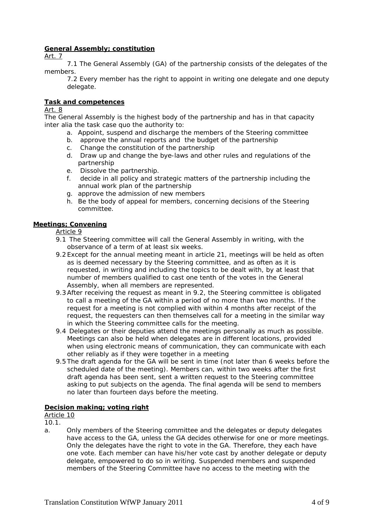## **General Assembly; constitution**

Art. 7

 7.1 The General Assembly (GA) of the partnership consists of the delegates of the members.

7.2 Every member has the right to appoint in writing one delegate and one deputy delegate.

### **Task and competences**

### Art. 8

The General Assembly is the highest body of the partnership and has in that capacity *inter alia* the task case quo the authority to:

- a. Appoint, suspend and discharge the members of the Steering committee
- b. approve the annual reports and the budget of the partnership
- c. Change the constitution of the partnership
- d. Draw up and change the bye-laws and other rules and regulations of the partnership
- e. Dissolve the partnership.
- f. decide in all policy and strategic matters of the partnership including the annual work plan of the partnership
- g. approve the admission of new members
- h. Be the body of appeal for members, concerning decisions of the Steering committee.

# **Meetings; Convening**

Article 9

- 9.1 The Steering committee will call the General Assembly in writing, with the observance of a term of at least six weeks.
- 9.2 Except for the annual meeting meant in article 21, meetings will be held as often as is deemed necessary by the Steering committee, and as often as it is requested, in writing and including the topics to be dealt with, by at least that number of members qualified to cast one tenth of the votes in the General Assembly, when all members are represented.
- 9.3After receiving the request as meant in 9.2, the Steering committee is obligated to call a meeting of the GA within a period of no more than two months. If the request for a meeting is not complied with within 4 months after receipt of the request, the requesters can then themselves call for a meeting in the similar way in which the Steering committee calls for the meeting.
- 9.4 Delegates or their deputies attend the meetings personally as much as possible. Meetings can also be held when delegates are in different locations, provided when using electronic means of communication, they can communicate with each other reliably as if they were together in a meeting
- 9.5 The draft agenda for the GA will be sent in time (not later than 6 weeks before the scheduled date of the meeting). Members can, within two weeks after the first draft agenda has been sent, sent a written request to the Steering committee asking to put subjects on the agenda. The final agenda will be send to members no later than fourteen days before the meeting.

### **Decision making; voting right**

Article 10

10.1.

a. Only members of the Steering committee and the delegates or deputy delegates have access to the GA, unless the GA decides otherwise for one or more meetings. Only the delegates have the right to vote in the GA. Therefore, they each have one vote. Each member can have his/her vote cast by another delegate or deputy delegate, empowered to do so in writing. Suspended members and suspended members of the Steering Committee have no access to the meeting with the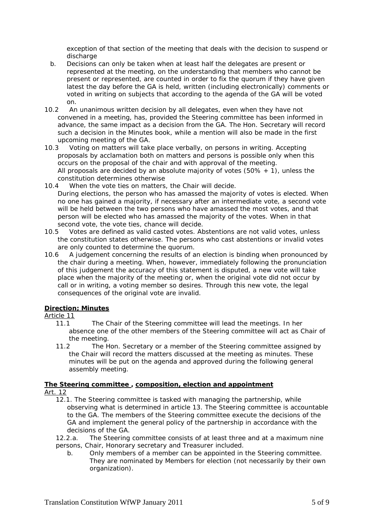exception of that section of the meeting that deals with the decision to suspend or discharge

- b. Decisions can only be taken when at least half the delegates are present or represented at the meeting, on the understanding that members who cannot be present or represented, are counted in order to fix the quorum if they have given latest the day before the GA is held, written (including electronically) comments or voted in writing on subjects that according to the agenda of the GA will be voted on.
- 10.2 An unanimous written decision by all delegates, even when they have not convened in a meeting, has, provided the Steering committee has been informed in advance, the same impact as a decision from the GA. The Hon. Secretary will record such a decision in the Minutes book, while a mention will also be made in the first upcoming meeting of the GA.
- 10.3 Voting on matters will take place verbally, on persons in writing. Accepting proposals by acclamation both on matters and persons is possible only when this occurs on the proposal of the chair and with approval of the meeting. All proposals are decided by an absolute majority of votes  $(50\% + 1)$ , unless the constitution determines otherwise
- 10.4 When the vote ties on matters, the Chair will decide. During elections, the person who has amassed the majority of votes is elected. When no one has gained a majority, if necessary after an intermediate vote, a second vote will be held between the two persons who have amassed the most votes, and that person will be elected who has amassed the majority of the votes. When in that second vote, the vote ties, chance will decide.
- 10.5 Votes are defined as valid casted votes. Abstentions are not valid votes, unless the constitution states otherwise. The persons who cast abstentions or invalid votes are only counted to determine the quorum.
- 10.6 A judgement concerning the results of an election is binding when pronounced by the chair during a meeting. When, however, immediately following the pronunciation of this judgement the accuracy of this statement is disputed, a new vote will take place when the majority of the meeting or, when the original vote did not occur by call or in writing, a voting member so desires. Through this new vote, the legal consequences of the original vote are invalid.

# **Direction; Minutes**

### Article 11

- 11.1 The Chair of the Steering committee will lead the meetings. In her absence one of the other members of the Steering committee will act as Chair of the meeting.
- 11.2 The Hon. Secretary or a member of the Steering committee assigned by the Chair will record the matters discussed at the meeting as minutes. These minutes will be put on the agenda and approved during the following general assembly meeting.

### **The Steering committee , composition, election and appointment** Art. 12

- 12.1. The Steering committee is tasked with managing the partnership, while observing what is determined in article 13. The Steering committee is accountable to the GA. The members of the Steering committee execute the decisions of the GA and implement the general policy of the partnership in accordance with the decisions of the GA.
- 12.2.a. The Steering committee consists of at least three and at a maximum nine persons, Chair, Honorary secretary and Treasurer included.
	- b. Only members of a member can be appointed in the Steering committee. They are nominated by Members for election (not necessarily by their own organization).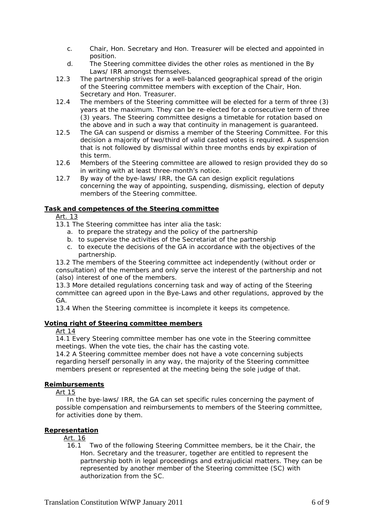- c. Chair, Hon. Secretary and Hon. Treasurer will be elected and appointed in position.
- d. The Steering committee divides the other roles as mentioned in the By Laws/ IRR amongst themselves.
- 12.3 The partnership strives for a well-balanced geographical spread of the origin of the Steering committee members with exception of the Chair, Hon. Secretary and Hon. Treasurer.
- 12.4 The members of the Steering committee will be elected for a term of three (3) years at the maximum. They can be re-elected for a consecutive term of three (3) years. The Steering committee designs a timetable for rotation based on the above and in such a way that continuity in management is guaranteed.
- 12.5 The GA can suspend or dismiss a member of the Steering Committee. For this decision a majority of two/third of valid casted votes is required. A suspension that is not followed by dismissal within three months ends by expiration of this term.
- 12.6 Members of the Steering committee are allowed to resign provided they do so in writing with at least three-month's notice.
- 12.7 By way of the bye-laws/ IRR, the GA can design explicit regulations concerning the way of appointing, suspending, dismissing, election of deputy members of the Steering committee.

### **Task and competences of the Steering committee**

- Art. 13
- 13.1 The Steering committee has *inter alia* the task:
	- a. to prepare the strategy and the policy of the partnership
	- b. to supervise the activities of the Secretariat of the partnership
	- c. to execute the decisions of the GA in accordance with the objectives of the partnership.

13.2 The members of the Steering committee act independently (without order or consultation) of the members and only serve the interest of the partnership and not (also) interest of one of the members.

13.3 More detailed regulations concerning task and way of acting of the Steering committee can agreed upon in the Bye-Laws and other regulations, approved by the GA.

13.4 When the Steering committee is incomplete it keeps its competence.

# **Voting right of Steering committee members**

### Art 14

14.1 Every Steering committee member has one vote in the Steering committee meetings. When the vote ties, the chair has the casting vote.

14.2 A Steering committee member does not have a vote concerning subjects regarding herself personally in any way, the majority of the Steering committee members present or represented at the meeting being the sole judge of that.

### **Reimbursements**

Art 15

 In the bye-laws/ IRR, the GA can set specific rules concerning the payment of possible compensation and reimbursements to members of the Steering committee, for activities done by them.

# **Representation**

Art. 16

16.1 Two of the following Steering Committee members, be it the Chair, the Hon. Secretary and the treasurer, together are entitled to represent the partnership both in legal proceedings and extrajudicial matters. They can be represented by another member of the Steering committee (SC) with authorization from the SC.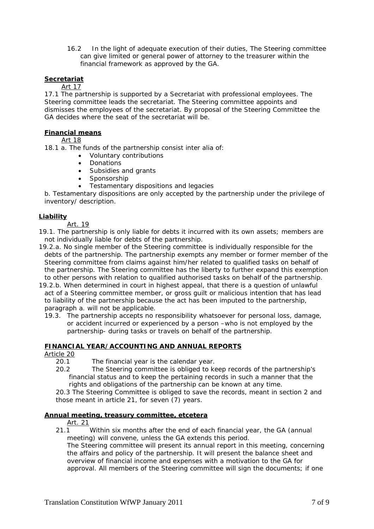16.2 In the light of adequate execution of their duties, The Steering committee can give limited or general power of attorney to the treasurer within the financial framework as approved by the GA.

## **Secretariat**

# Art 17

17.1 The partnership is supported by a Secretariat with professional employees. The Steering committee leads the secretariat. The Steering committee appoints and dismisses the employees of the secretariat. By proposal of the Steering Committee the GA decides where the seat of the secretariat will be.

### **Financial means**

Art 18

18.1 a. The funds of the partnership consist *inter alia* of:

- Voluntary contributions
- Donations
- Subsidies and grants
- Sponsorship
- Testamentary dispositions and legacies

b. Testamentary dispositions are only accepted by the partnership under the privilege of inventory/ description.

### **Liability**

Art. 19

19.1. The partnership is only liable for debts it incurred with its own assets; members are not individually liable for debts of the partnership.

- 19.2.a. No single member of the Steering committee is individually responsible for the debts of the partnership. The partnership exempts any member or former member of the Steering committee from claims against him/her related to qualified tasks on behalf of the partnership. The Steering committee has the liberty to further expand this exemption to other persons with relation to qualified authorised tasks on behalf of the partnership.
- 19.2.b. When determined in court in highest appeal, that there is a question of unlawful act of a Steering committee member, or gross guilt or malicious intention that has lead to liability of the partnership because the act has been imputed to the partnership, paragraph a. will not be applicable.
	- 19.3. The partnership accepts no responsibility whatsoever for personal loss, damage, or accident incurred or experienced by a person –who is not employed by the partnership- during tasks or travels on behalf of the partnership.

# **FINANCIAL YEAR/ACCOUNTING AND ANNUAL REPORTS**

Article 20

- 20.1 The financial year is the calendar year.
- 20.2 The Steering committee is obliged to keep records of the partnership's financial status and to keep the pertaining records in such a manner that the rights and obligations of the partnership can be known at any time.

20.3 The Steering Committee is obliged to save the records, meant in section 2 and those meant in article 21, for seven (7) years.

### **Annual meeting, treasury committee, etcetera**

Art. 21

21.1 Within six months after the end of each financial year, the GA (annual meeting) will convene, unless the GA extends this period.

The Steering committee will present its annual report in this meeting, concerning the affairs and policy of the partnership. It will present the balance sheet and overview of financial income and expenses with a motivation to the GA for approval. All members of the Steering committee will sign the documents; if one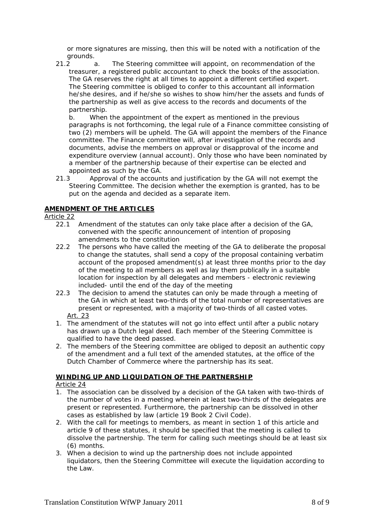or more signatures are missing, then this will be noted with a notification of the grounds.

21.2 a. The Steering committee will appoint, on recommendation of the treasurer, a registered public accountant to check the books of the association. The GA reserves the right at all times to appoint a different certified expert. The Steering committee is obliged to confer to this accountant all information he/she desires, and if he/she so wishes to show him/her the assets and funds of the partnership as well as give access to the records and documents of the partnership.

b. When the appointment of the expert as mentioned in the previous paragraphs is not forthcoming, the legal rule of a Finance committee consisting of two (2) members will be upheld. The GA will appoint the members of the Finance committee. The Finance committee will, after investigation of the records and documents, advise the members on approval or disapproval of the income and expenditure overview (annual account). Only those who have been nominated by a member of the partnership because of their expertise can be elected and appointed as such by the GA.

21.3 Approval of the accounts and justification by the GA will not exempt the Steering Committee. The decision whether the exemption is granted, has to be put on the agenda and decided as a separate item.

# **AMENDMENT OF THE ARTICLES**

Article 22

- 22.1 Amendment of the statutes can only take place after a decision of the GA, convened with the specific announcement of intention of proposing amendments to the constitution
- 22.2 The persons who have called the meeting of the GA to deliberate the proposal to change the statutes, shall send a copy of the proposal containing verbatim account of the proposed amendment(s) at least three months prior to the day of the meeting to all members as well as lay them publically in a suitable location for inspection by all delegates and members - electronic reviewing included- until the end of the day of the meeting
- 22.3 The decision to amend the statutes can only be made through a meeting of the GA in which at least two-thirds of the total number of representatives are present or represented, with a majority of two-thirds of all casted votes. Art. 23
- 1. The amendment of the statutes will not go into effect until after a public notary has drawn up a Dutch legal deed. Each member of the Steering Committee is qualified to have the deed passed.
- 2. The members of the Steering committee are obliged to deposit an authentic copy of the amendment and a full text of the amended statutes, at the office of the Dutch Chamber of Commerce where the partnership has its seat.

# **WINDING UP AND LIQUIDATION OF THE PARTNERSHIP**

### Article 24

- 1. The association can be dissolved by a decision of the GA taken with two-thirds of the number of votes in a meeting wherein at least two-thirds of the delegates are present or represented. Furthermore, the partnership can be dissolved in other cases as established by law (article 19 Book 2 Civil Code).
- 2. With the call for meetings to members, as meant in section 1 of this article and article 9 of these statutes, it should be specified that the meeting is called to dissolve the partnership. The term for calling such meetings should be at least six (6) months.
- 3. When a decision to wind up the partnership does not include appointed liquidators, then the Steering Committee will execute the liquidation according to the Law.